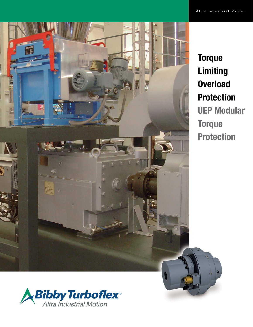

**Torque** Limiting **Overload** Protection UEP Modular **Torque** Protection

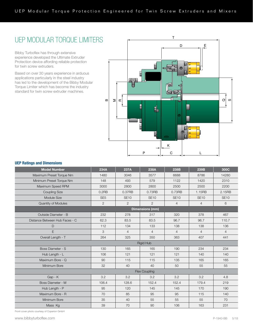# UEP MODULAR TORQUE LIMITERS

Bibby Turboflex has through extensive experience developed the Ultimate Extruder Protection device affording reliable protection for twin screw extruders.

Based on over 30 years experience in arduous applications particularly in the steel industry has led to the development of the Bibby Modular Torque Limiter which has become the industry standard for twin screw extruder machines.



## UEP Ratings and Dimensions

| <b>Model Number</b>            | 234A                   | 237A           | 238A           | 238B           | 239B           | 300C           |  |
|--------------------------------|------------------------|----------------|----------------|----------------|----------------|----------------|--|
| Maximum Preset Torque Nm       | 1480                   | 3046           | 3577           | 6688           | 8786           | 14280          |  |
| Minimum Preset Torque Nm       | 148                    | 493            | 579            | 1122           | 1420           | 2310           |  |
| Maximum Speed RPM              | 3000                   | 2800           | 2800           | 2500           | 2500           | 2200           |  |
| <b>Coupling Size</b>           | $0.2$ RB               | 0.37RB         | 0.73RB         | 0.73RB         | 1.15RB         | 2.15RB         |  |
| Module Size                    | SE <sub>5</sub>        | <b>SE10</b>    | <b>SE10</b>    | <b>SE10</b>    | <b>SE10</b>    | <b>SE10</b>    |  |
| Quantity of Modules            | $\overline{2}$         | $\overline{2}$ | $\overline{2}$ | $\overline{4}$ | $\overline{4}$ | 6              |  |
|                                | <b>Dimensions (mm)</b> |                |                |                |                |                |  |
| Outside Diameter - B           | 232                    | 278            | 317            | 320            | 378            | 467            |  |
| Distance Between Hub Faces - C | 62.3                   | 83.5           | 83.5           | 96.7           | 96.7           | 110.7          |  |
| $\mathsf D$                    | 112                    | 134            | 133            | 138            | 138            | 136            |  |
| E                              | 3                      | $\overline{4}$ | $\overline{4}$ | $\overline{4}$ | $\overline{4}$ | $\overline{4}$ |  |
| Overall Length - T             | 264                    | 325            | 350            | 363            | 407            | 441            |  |
| <b>Rigid Hub</b>               |                        |                |                |                |                |                |  |
| Boss Diameter - S              | 130                    | 165            | 165            | 190            | 234            | 234            |  |
| Hub Length - L                 | 106                    | 121            | 121            | 121            | 140            | 140            |  |
| Maximum Bore - Q               | 90                     | 115            | 115            | 135            | 165            | 165            |  |
| Minimum Bore                   | 32                     | 40             | 40             | 50             | 55             | 55             |  |
|                                | Flex Coupling          |                |                |                |                |                |  |
| Gap - K                        | 3.2                    | 3.2            | 3.2            | 3.2            | 3.2            | 4.8            |  |
| Boss Diameter - M              | 106.4                  | 128.6          | 152.4          | 152.4          | 179.4          | 219            |  |
| Hub Length - P                 | 95                     | 120            | 145            | 145            | 170            | 190            |  |
| Maximum Bore - R               | 70                     | 85             | 95             | 95             | 115            | 140            |  |
| Minimum Bore                   | 35                     | 40             | 55             | 55             | 55             | 70             |  |
| Mass Kg                        | 39                     | 70             | 90             | 106            | 163            | 231            |  |

Front cover photo courtesy of Coperion GmbH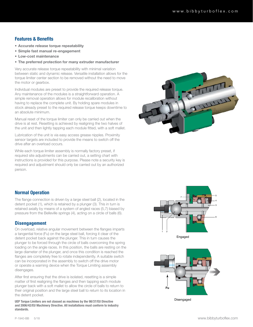## Features & Benefits

- Accurate release torque repeatability
- Simple fast manual re-engagement
- Low-cost maintenance
- The preferred protection for many extruder manufacturer

Very accurate release torque repeatability with minimal variation between static and dynamic release. Versatile installation allows for the torque limiter center section to be removed without the need to move the motor or gearbox.

Individual modules are preset to provide the required release torque. Any maintenance of the modules is a straightforward operation. A simple removal operation allows for module recalibration without having to replace the complete unit. By holding spare modules in stock already preset to the required release torque keeps downtime to an absolute minimum.

Manual reset of the torque limiter can only be carried out when the drive is at rest. Resetting is achieved by realigning the two halves of the unit and then lightly tapping each module fitted, with a soft mallet.

Lubrication of the unit is via easy access grease nipples. Proximity sensor targets are included to provide the means to switch off the drive after an overload occurs.

While each torque limiter assembly is normally factory preset, if required site adjustments can be carried out, a setting chart with instructions is provided for this purpose. Please note a security key is required and adjustment should only be carried out by an authorized person.



## Normal Operation

The flange connection is driven by a large steel ball (2), located in the detent pocket (1), which is retained by a plunger (3). This in turn is retained axially by means of a system of angled races (5,7) biased by pressure from the Belleville springs (4), acting on a circle of balls (6).

## **Disengagement**

Finally can be incorporated in the assembly to switch off the drive motor On overload, relative angular movement between the flanges imparts a tangential force (Fu) on the large steel ball, forcing it clear of the detent pocket back against the plunger. This in turn causes the plunger to be forced through the circle of balls overcoming the spring loading on the angle races. In this position, the balls are resting on the large diameter of the plunger, and once this condition is reached the flanges are completely free to rotate independently. A suitable switch or operate a warning device when the Torque Limiting assembly disengages.

After first ensuring that the drive is isolated, resetting is a simple matter of first realigning the flanges and then tapping each module plunger back with a soft mallet to allow the circle of balls to return to their original position and the large steel ball to return to its location in the detent pocket.

UEP Torque Limiters are not classed as machines by the 98/37/EU Directive and 2006/42/EU Machinery Directive. All installations must conform to industry standards.



**Fu**

Disengaged